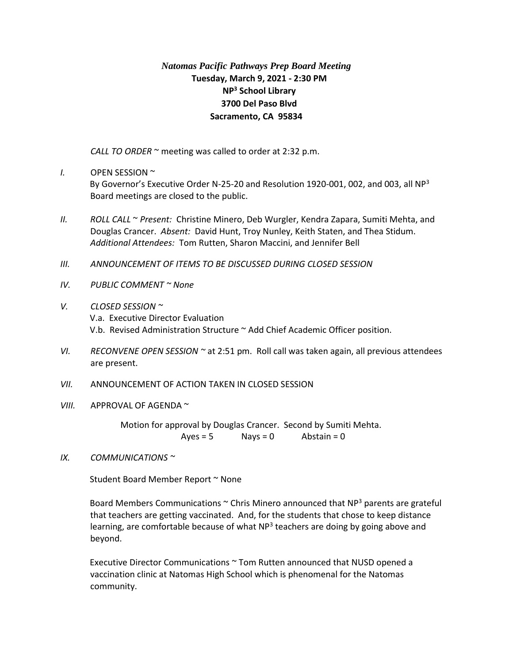## *Natomas Pacific Pathways Prep Board Meeting* **Tuesday, March 9, 2021 - 2:30 PM NP<sup>3</sup> School Library 3700 Del Paso Blvd Sacramento, CA 95834**

*CALL TO ORDER* ~ meeting was called to order at 2:32 p.m.

*I.* OPEN SESSION ~

By Governor's Executive Order N-25-20 and Resolution 1920-001, 002, and 003, all NP<sup>3</sup> Board meetings are closed to the public.

- *II. ROLL CALL* ~ *Present:* Christine Minero, Deb Wurgler, Kendra Zapara, Sumiti Mehta, and Douglas Crancer. *Absent:* David Hunt, Troy Nunley, Keith Staten, and Thea Stidum. *Additional Attendees:* Tom Rutten, Sharon Maccini, and Jennifer Bell
- *III. ANNOUNCEMENT OF ITEMS TO BE DISCUSSED DURING CLOSED SESSION*
- *IV. PUBLIC COMMENT ~ None*
- *V. CLOSED SESSION ~*  V.a. Executive Director Evaluation V.b. Revised Administration Structure ~ Add Chief Academic Officer position.
- *VI. RECONVENE OPEN SESSION ~* at 2:51 pm. Roll call was taken again, all previous attendees are present.
- *VII.* ANNOUNCEMENT OF ACTION TAKEN IN CLOSED SESSION
- *VIII.* APPROVAL OF AGENDA ~

Motion for approval by Douglas Crancer. Second by Sumiti Mehta.  $Ayes = 5$  Nays = 0 Abstain = 0

*IX. COMMUNICATIONS ~* 

Student Board Member Report ~ None

Board Members Communications  $\sim$  Chris Minero announced that NP<sup>3</sup> parents are grateful that teachers are getting vaccinated. And, for the students that chose to keep distance learning, are comfortable because of what NP<sup>3</sup> teachers are doing by going above and beyond.

Executive Director Communications ~ Tom Rutten announced that NUSD opened a vaccination clinic at Natomas High School which is phenomenal for the Natomas community.